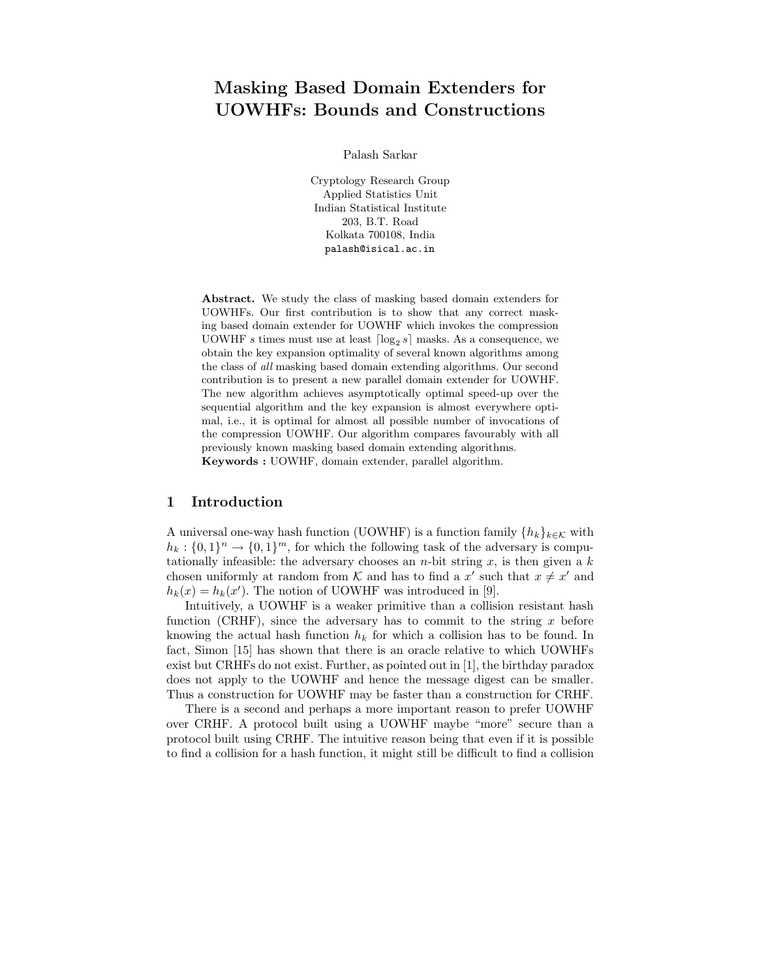# Masking Based Domain Extenders for UOWHFs: Bounds and Constructions

Palash Sarkar

Cryptology Research Group Applied Statistics Unit Indian Statistical Institute 203, B.T. Road Kolkata 700108, India palash@isical.ac.in

Abstract. We study the class of masking based domain extenders for UOWHFs. Our first contribution is to show that any correct masking based domain extender for UOWHF which invokes the compression UOWHF s times must use at least  $\lceil \log_2 s \rceil$  masks. As a consequence, we obtain the key expansion optimality of several known algorithms among the class of all masking based domain extending algorithms. Our second contribution is to present a new parallel domain extender for UOWHF. The new algorithm achieves asymptotically optimal speed-up over the sequential algorithm and the key expansion is almost everywhere optimal, i.e., it is optimal for almost all possible number of invocations of the compression UOWHF. Our algorithm compares favourably with all previously known masking based domain extending algorithms. Keywords : UOWHF, domain extender, parallel algorithm.

## 1 Introduction

A universal one-way hash function (UOWHF) is a function family  $\{h_k\}_{k\in\mathcal{K}}$  with  $h_k: \{0,1\}^n \to \{0,1\}^m$ , for which the following task of the adversary is computationally infeasible: the adversary chooses an  $n$ -bit string  $x$ , is then given a  $k$ chosen uniformly at random from K and has to find a  $x'$  such that  $x \neq x'$  and  $h_k(x) = h_k(x')$ . The notion of UOWHF was introduced in [9].

Intuitively, a UOWHF is a weaker primitive than a collision resistant hash function (CRHF), since the adversary has to commit to the string  $x$  before knowing the actual hash function  $h_k$  for which a collision has to be found. In fact, Simon [15] has shown that there is an oracle relative to which UOWHFs exist but CRHFs do not exist. Further, as pointed out in [1], the birthday paradox does not apply to the UOWHF and hence the message digest can be smaller. Thus a construction for UOWHF may be faster than a construction for CRHF.

There is a second and perhaps a more important reason to prefer UOWHF over CRHF. A protocol built using a UOWHF maybe "more" secure than a protocol built using CRHF. The intuitive reason being that even if it is possible to find a collision for a hash function, it might still be difficult to find a collision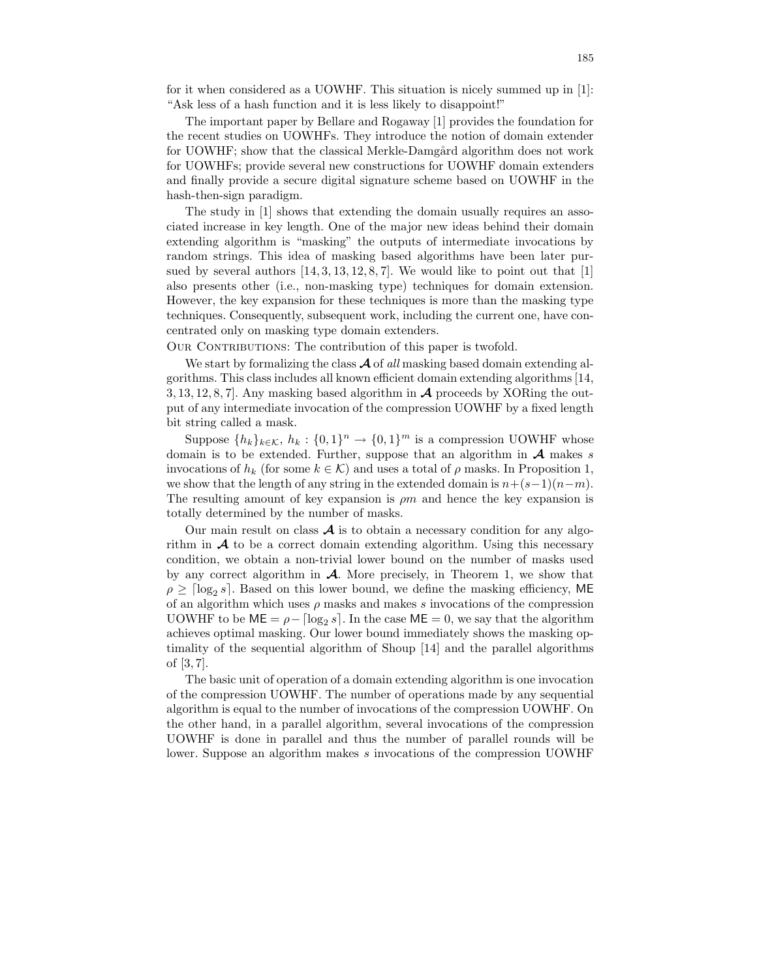for it when considered as a UOWHF. This situation is nicely summed up in [1]: "Ask less of a hash function and it is less likely to disappoint!"

The important paper by Bellare and Rogaway [1] provides the foundation for the recent studies on UOWHFs. They introduce the notion of domain extender for UOWHF; show that the classical Merkle-Damgård algorithm does not work for UOWHFs; provide several new constructions for UOWHF domain extenders and finally provide a secure digital signature scheme based on UOWHF in the hash-then-sign paradigm.

The study in [1] shows that extending the domain usually requires an associated increase in key length. One of the major new ideas behind their domain extending algorithm is "masking" the outputs of intermediate invocations by random strings. This idea of masking based algorithms have been later pursued by several authors  $[14, 3, 13, 12, 8, 7]$ . We would like to point out that  $[1]$ also presents other (i.e., non-masking type) techniques for domain extension. However, the key expansion for these techniques is more than the masking type techniques. Consequently, subsequent work, including the current one, have concentrated only on masking type domain extenders.

OUR CONTRIBUTIONS: The contribution of this paper is twofold.

We start by formalizing the class  $\mathcal A$  of all masking based domain extending algorithms. This class includes all known efficient domain extending algorithms [14, 3, 13, 12, 8, 7. Any masking based algorithm in  $\mathcal A$  proceeds by XORing the output of any intermediate invocation of the compression UOWHF by a fixed length bit string called a mask.

Suppose  $\{h_k\}_{k\in\mathcal{K}}$ ,  $h_k: \{0,1\}^n \to \{0,1\}^m$  is a compression UOWHF whose domain is to be extended. Further, suppose that an algorithm in  $A$  makes s invocations of  $h_k$  (for some  $k \in \mathcal{K}$ ) and uses a total of  $\rho$  masks. In Proposition 1, we show that the length of any string in the extended domain is  $n+(s-1)(n-m)$ . The resulting amount of key expansion is  $\rho m$  and hence the key expansion is totally determined by the number of masks.

Our main result on class  $\mathcal A$  is to obtain a necessary condition for any algorithm in  $A$  to be a correct domain extending algorithm. Using this necessary condition, we obtain a non-trivial lower bound on the number of masks used by any correct algorithm in  $\mathcal{A}$ . More precisely, in Theorem 1, we show that  $\rho \geq \lceil \log_2 s \rceil$ . Based on this lower bound, we define the masking efficiency, ME of an algorithm which uses  $\rho$  masks and makes s invocations of the compression UOWHF to be  $ME = \rho - \left[\log_2 s\right]$ . In the case  $ME = 0$ , we say that the algorithm achieves optimal masking. Our lower bound immediately shows the masking optimality of the sequential algorithm of Shoup [14] and the parallel algorithms of [3, 7].

The basic unit of operation of a domain extending algorithm is one invocation of the compression UOWHF. The number of operations made by any sequential algorithm is equal to the number of invocations of the compression UOWHF. On the other hand, in a parallel algorithm, several invocations of the compression UOWHF is done in parallel and thus the number of parallel rounds will be lower. Suppose an algorithm makes s invocations of the compression UOWHF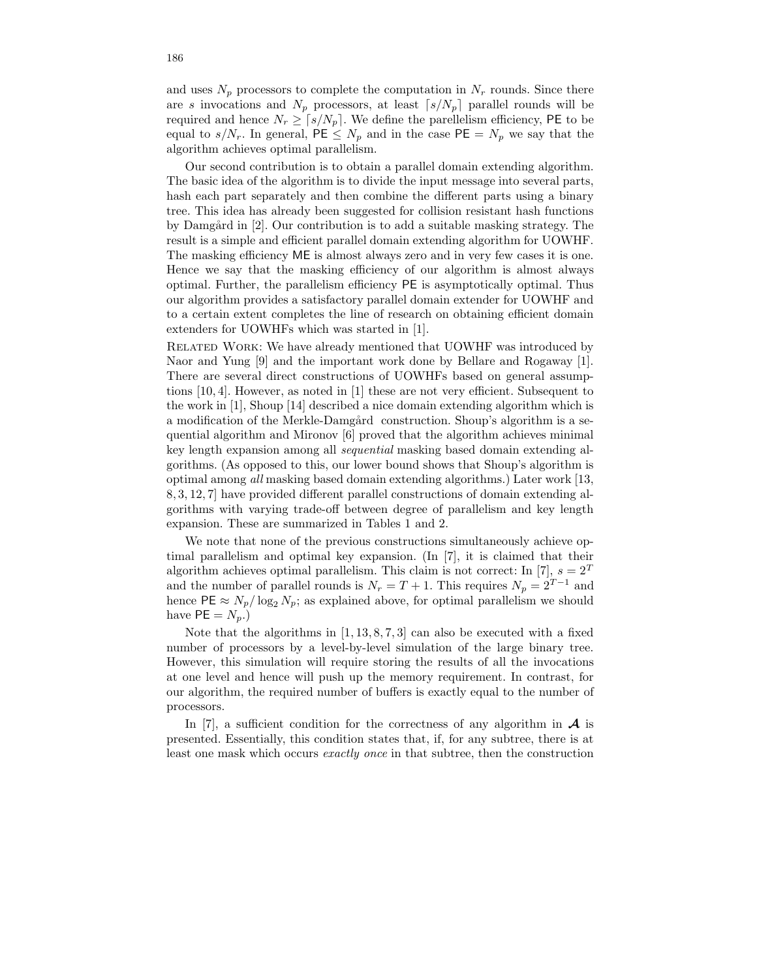and uses  $N_p$  processors to complete the computation in  $N_r$  rounds. Since there are s invocations and  $N_p$  processors, at least  $\lceil s/N_p \rceil$  parallel rounds will be required and hence  $N_r \geq \lceil s/N_p \rceil$ . We define the parellelism efficiency, PE to be equal to  $s/N_r$ . In general,  $\mathsf{PE} \leq N_p$  and in the case  $\mathsf{PE} = N_p$  we say that the algorithm achieves optimal parallelism.

Our second contribution is to obtain a parallel domain extending algorithm. The basic idea of the algorithm is to divide the input message into several parts, hash each part separately and then combine the different parts using a binary tree. This idea has already been suggested for collision resistant hash functions by Damgård in [2]. Our contribution is to add a suitable masking strategy. The result is a simple and efficient parallel domain extending algorithm for UOWHF. The masking efficiency ME is almost always zero and in very few cases it is one. Hence we say that the masking efficiency of our algorithm is almost always optimal. Further, the parallelism efficiency PE is asymptotically optimal. Thus our algorithm provides a satisfactory parallel domain extender for UOWHF and to a certain extent completes the line of research on obtaining efficient domain extenders for UOWHFs which was started in [1].

Related Work: We have already mentioned that UOWHF was introduced by Naor and Yung [9] and the important work done by Bellare and Rogaway [1]. There are several direct constructions of UOWHFs based on general assumptions [10, 4]. However, as noted in [1] these are not very efficient. Subsequent to the work in [1], Shoup [14] described a nice domain extending algorithm which is a modification of the Merkle-Damgård construction. Shoup's algorithm is a sequential algorithm and Mironov [6] proved that the algorithm achieves minimal key length expansion among all sequential masking based domain extending algorithms. (As opposed to this, our lower bound shows that Shoup's algorithm is optimal among all masking based domain extending algorithms.) Later work [13, 8, 3, 12, 7] have provided different parallel constructions of domain extending algorithms with varying trade-off between degree of parallelism and key length expansion. These are summarized in Tables 1 and 2.

We note that none of the previous constructions simultaneously achieve optimal parallelism and optimal key expansion. (In [7], it is claimed that their algorithm achieves optimal parallelism. This claim is not correct: In [7],  $s = 2<sup>T</sup>$ and the number of parallel rounds is  $N_r = T + 1$ . This requires  $N_p = 2^{T-1}$  and hence  $\mathsf{PE} \approx N_p / \log_2 N_p$ ; as explained above, for optimal parallelism we should have  $PE = N_p$ .

Note that the algorithms in  $[1, 13, 8, 7, 3]$  can also be executed with a fixed number of processors by a level-by-level simulation of the large binary tree. However, this simulation will require storing the results of all the invocations at one level and hence will push up the memory requirement. In contrast, for our algorithm, the required number of buffers is exactly equal to the number of processors.

In [7], a sufficient condition for the correctness of any algorithm in  $\mathcal A$  is presented. Essentially, this condition states that, if, for any subtree, there is at least one mask which occurs exactly once in that subtree, then the construction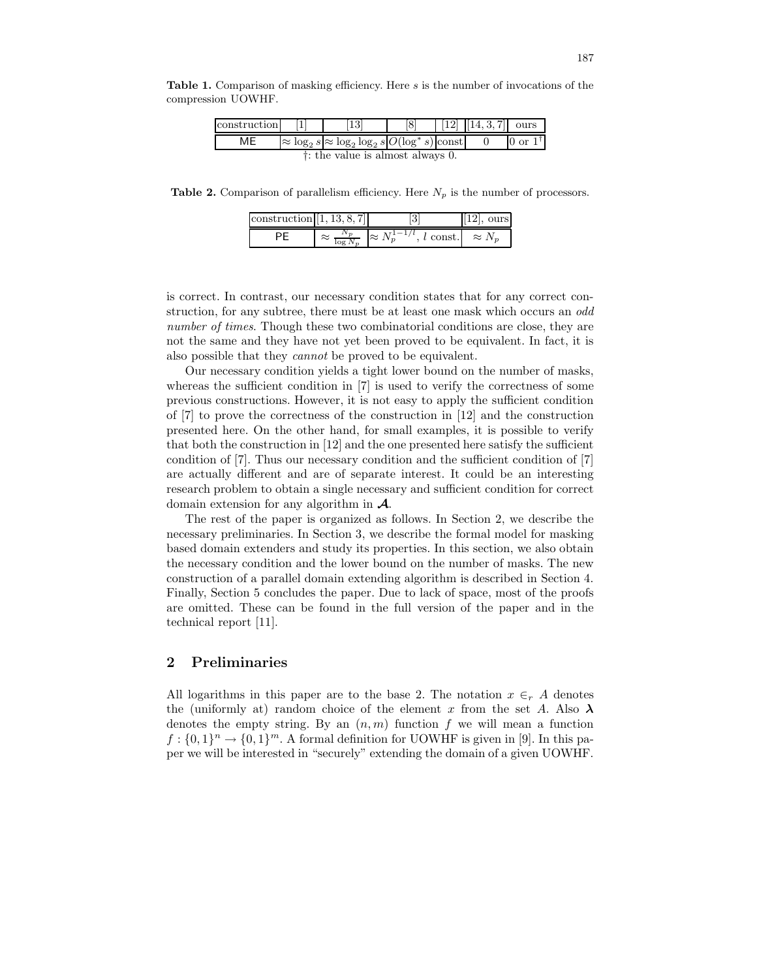| construction                                 |  | 13                                                             | [8] |  | $\vert$ [12] $\vert$ [14, 3, 7] ours |                 |  |
|----------------------------------------------|--|----------------------------------------------------------------|-----|--|--------------------------------------|-----------------|--|
| МE                                           |  | $\approx \log_2 s \approx \log_2 \log_2 s  O(\log^* s) $ const |     |  |                                      | 0 <sub>or</sub> |  |
| <sup>†</sup> : the value is almost always 0. |  |                                                                |     |  |                                      |                 |  |

Table 1. Comparison of masking efficiency. Here s is the number of invocations of the compression UOWHF.

**Table 2.** Comparison of parallelism efficiency. Here  $N_p$  is the number of processors.

| construction $[1, 13, 8, 7]$ |     |                                                                 | ours. |
|------------------------------|-----|-----------------------------------------------------------------|-------|
|                              | log | $\approx N_n^{1-\frac{1}{l}}$<br>$l \text{ const.} \approx N_n$ |       |

is correct. In contrast, our necessary condition states that for any correct construction, for any subtree, there must be at least one mask which occurs an *odd* number of times. Though these two combinatorial conditions are close, they are not the same and they have not yet been proved to be equivalent. In fact, it is also possible that they cannot be proved to be equivalent.

Our necessary condition yields a tight lower bound on the number of masks, whereas the sufficient condition in  $[7]$  is used to verify the correctness of some previous constructions. However, it is not easy to apply the sufficient condition of [7] to prove the correctness of the construction in [12] and the construction presented here. On the other hand, for small examples, it is possible to verify that both the construction in [12] and the one presented here satisfy the sufficient condition of [7]. Thus our necessary condition and the sufficient condition of [7] are actually different and are of separate interest. It could be an interesting research problem to obtain a single necessary and sufficient condition for correct domain extension for any algorithm in  $\mathcal{A}$ .

The rest of the paper is organized as follows. In Section 2, we describe the necessary preliminaries. In Section 3, we describe the formal model for masking based domain extenders and study its properties. In this section, we also obtain the necessary condition and the lower bound on the number of masks. The new construction of a parallel domain extending algorithm is described in Section 4. Finally, Section 5 concludes the paper. Due to lack of space, most of the proofs are omitted. These can be found in the full version of the paper and in the technical report [11].

## 2 Preliminaries

All logarithms in this paper are to the base 2. The notation  $x \in_R A$  denotes the (uniformly at) random choice of the element x from the set A. Also  $\lambda$ denotes the empty string. By an  $(n, m)$  function f we will mean a function  $f: \{0,1\}^n \to \{0,1\}^m$ . A formal definition for UOWHF is given in [9]. In this paper we will be interested in "securely" extending the domain of a given UOWHF.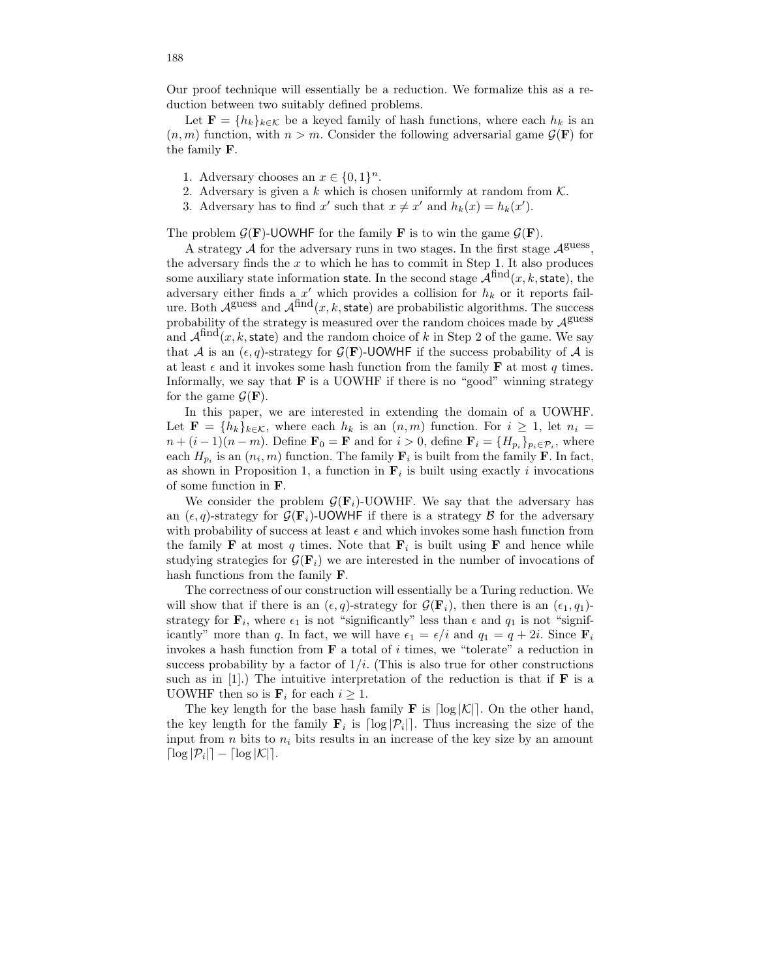Our proof technique will essentially be a reduction. We formalize this as a reduction between two suitably defined problems.

Let  $\mathbf{F} = \{h_k\}_{k \in \mathcal{K}}$  be a keyed family of hash functions, where each  $h_k$  is an  $(n, m)$  function, with  $n > m$ . Consider the following adversarial game  $\mathcal{G}(\mathbf{F})$  for the family F.

- 1. Adversary chooses an  $x \in \{0,1\}^n$ .
- 2. Adversary is given a k which is chosen uniformly at random from  $K$ .
- 3. Adversary has to find x' such that  $x \neq x'$  and  $h_k(x) = h_k(x')$ .

The problem  $\mathcal{G}(\mathbf{F})$ -UOWHF for the family **F** is to win the game  $\mathcal{G}(\mathbf{F})$ .

A strategy  $\hat{\mathcal{A}}$  for the adversary runs in two stages. In the first stage  $\mathcal{A}$ <sup>guess</sup>, the adversary finds the  $x$  to which he has to commit in Step 1. It also produces some auxiliary state information state. In the second stage  $\mathcal{A}^{\text{find}}(x, k, \text{state})$ , the adversary either finds  $a x'$ , which provides a collision for  $h_k$  or it reports failure. Both  $\mathcal{A}^{\text{guess}}$  and  $\mathcal{A}^{\text{find}}(x, k, \text{state})$  are probabilistic algorithms. The success probability of the strategy is measured over the random choices made by  $A<sup>guess</sup>$ and  $\mathcal{A}^{\text{find}}(x, k, \text{state})$  and the random choice of k in Step 2 of the game. We say that A is an  $(\epsilon, q)$ -strategy for  $\mathcal{G}(\mathbf{F})$ -UOWHF if the success probability of A is at least  $\epsilon$  and it invokes some hash function from the family **F** at most q times. Informally, we say that  $\bf{F}$  is a UOWHF if there is no "good" winning strategy for the game  $\mathcal{G}(\mathbf{F})$ .

In this paper, we are interested in extending the domain of a UOWHF. Let  $\mathbf{F} = \{h_k\}_{k \in \mathcal{K}}$ , where each  $h_k$  is an  $(n, m)$  function. For  $i \geq 1$ , let  $n_i =$  $n + (i - 1)(n - m)$ . Define  $\mathbf{F}_0 = \mathbf{F}$  and for  $i > 0$ , define  $\mathbf{F}_i = \{H_{p_i}\}_{p_i \in \mathcal{P}_i}$ , where each  $H_{p_i}$  is an  $(n_i, m)$  function. The family  $\mathbf{F}_i$  is built from the family  $\mathbf{F}$ . In fact, as shown in Proposition 1, a function in  $\mathbf{F}_i$  is built using exactly i invocations of some function in F.

We consider the problem  $\mathcal{G}(\mathbf{F}_i)$ -UOWHF. We say that the adversary has an  $(\epsilon, q)$ -strategy for  $\mathcal{G}(\mathbf{F}_i)$ -UOWHF if there is a strategy  $\mathcal{B}$  for the adversary with probability of success at least  $\epsilon$  and which invokes some hash function from the family **F** at most q times. Note that  $\mathbf{F}_i$  is built using **F** and hence while studying strategies for  $\mathcal{G}(\mathbf{F}_i)$  we are interested in the number of invocations of hash functions from the family F.

The correctness of our construction will essentially be a Turing reduction. We will show that if there is an  $(\epsilon, q)$ -strategy for  $\mathcal{G}(\mathbf{F}_i)$ , then there is an  $(\epsilon_1, q_1)$ strategy for  $\mathbf{F}_i$ , where  $\epsilon_1$  is not "significantly" less than  $\epsilon$  and  $q_1$  is not "significantly" more than q. In fact, we will have  $\epsilon_1 = \epsilon/i$  and  $q_1 = q + 2i$ . Since  $\mathbf{F}_i$ invokes a hash function from  $\bf{F}$  a total of i times, we "tolerate" a reduction in success probability by a factor of  $1/i$ . (This is also true for other constructions such as in  $[1]$ .) The intuitive interpretation of the reduction is that if **F** is a UOWHF then so is  $\mathbf{F}_i$  for each  $i \geq 1$ .

The key length for the base hash family **F** is  $\lceil \log |\mathcal{K}| \rceil$ . On the other hand, the key length for the family  $\mathbf{F}_i$  is  $\lceil \log |\mathcal{P}_i| \rceil$ . Thus increasing the size of the input from n bits to  $n_i$  bits results in an increase of the key size by an amount  $\lceil \log |\mathcal{P}_i| \rceil - \lceil \log |\mathcal{K}| \rceil$ .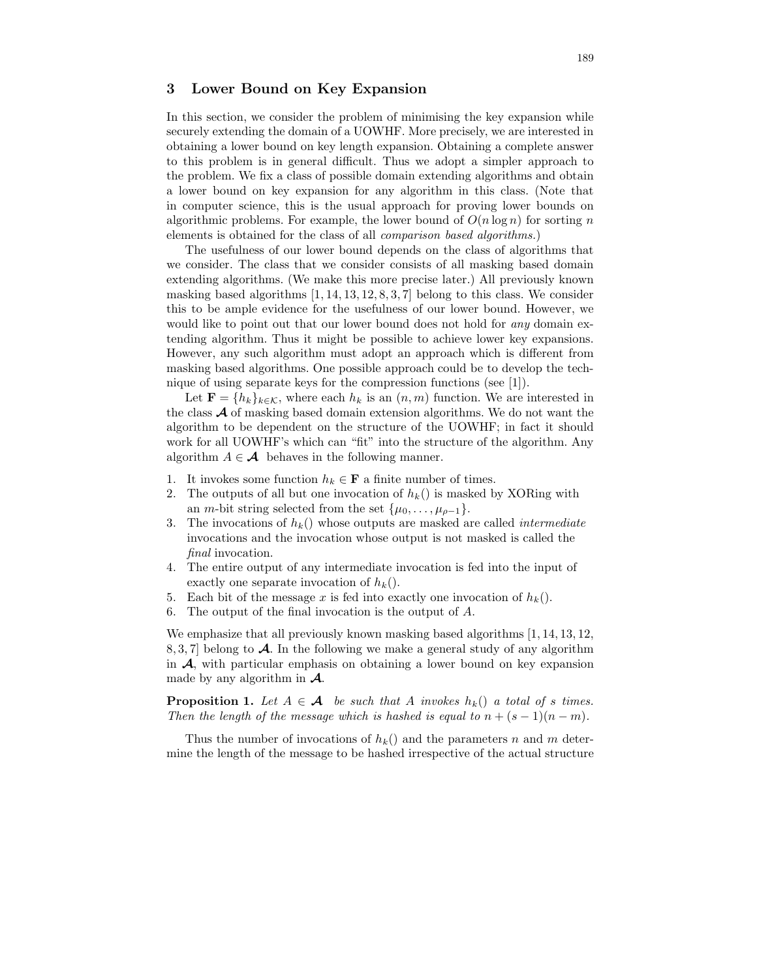## 3 Lower Bound on Key Expansion

In this section, we consider the problem of minimising the key expansion while securely extending the domain of a UOWHF. More precisely, we are interested in obtaining a lower bound on key length expansion. Obtaining a complete answer to this problem is in general difficult. Thus we adopt a simpler approach to the problem. We fix a class of possible domain extending algorithms and obtain a lower bound on key expansion for any algorithm in this class. (Note that in computer science, this is the usual approach for proving lower bounds on algorithmic problems. For example, the lower bound of  $O(n \log n)$  for sorting n elements is obtained for the class of all comparison based algorithms.)

The usefulness of our lower bound depends on the class of algorithms that we consider. The class that we consider consists of all masking based domain extending algorithms. (We make this more precise later.) All previously known masking based algorithms [1, 14, 13, 12, 8, 3, 7] belong to this class. We consider this to be ample evidence for the usefulness of our lower bound. However, we would like to point out that our lower bound does not hold for *any* domain extending algorithm. Thus it might be possible to achieve lower key expansions. However, any such algorithm must adopt an approach which is different from masking based algorithms. One possible approach could be to develop the technique of using separate keys for the compression functions (see [1]).

Let  $\mathbf{F} = \{h_k\}_{k \in \mathcal{K}}$ , where each  $h_k$  is an  $(n, m)$  function. We are interested in the class  $\mathcal A$  of masking based domain extension algorithms. We do not want the algorithm to be dependent on the structure of the UOWHF; in fact it should work for all UOWHF's which can "fit" into the structure of the algorithm. Any algorithm  $A \in \mathcal{A}$  behaves in the following manner.

- 1. It invokes some function  $h_k \in \mathbf{F}$  a finite number of times.
- 2. The outputs of all but one invocation of  $h_k()$  is masked by XORing with an *m*-bit string selected from the set  $\{\mu_0, \ldots, \mu_{\rho-1}\}.$
- 3. The invocations of  $h_k()$  whose outputs are masked are called *intermediate* invocations and the invocation whose output is not masked is called the final invocation.
- 4. The entire output of any intermediate invocation is fed into the input of exactly one separate invocation of  $h_k(.)$ .
- 5. Each bit of the message x is fed into exactly one invocation of  $h_k()$ .
- 6. The output of the final invocation is the output of A.

We emphasize that all previously known masking based algorithms  $[1, 14, 13, 12, 14]$ 8, 3, 7] belong to  $\mathcal{A}$ . In the following we make a general study of any algorithm in  $\mathcal{A}$ , with particular emphasis on obtaining a lower bound on key expansion made by any algorithm in  $\mathcal{A}$ .

**Proposition 1.** Let  $A \in \mathcal{A}$  be such that A invokes  $h_k()$  a total of s times. Then the length of the message which is hashed is equal to  $n + (s - 1)(n - m)$ .

Thus the number of invocations of  $h_k()$  and the parameters n and m determine the length of the message to be hashed irrespective of the actual structure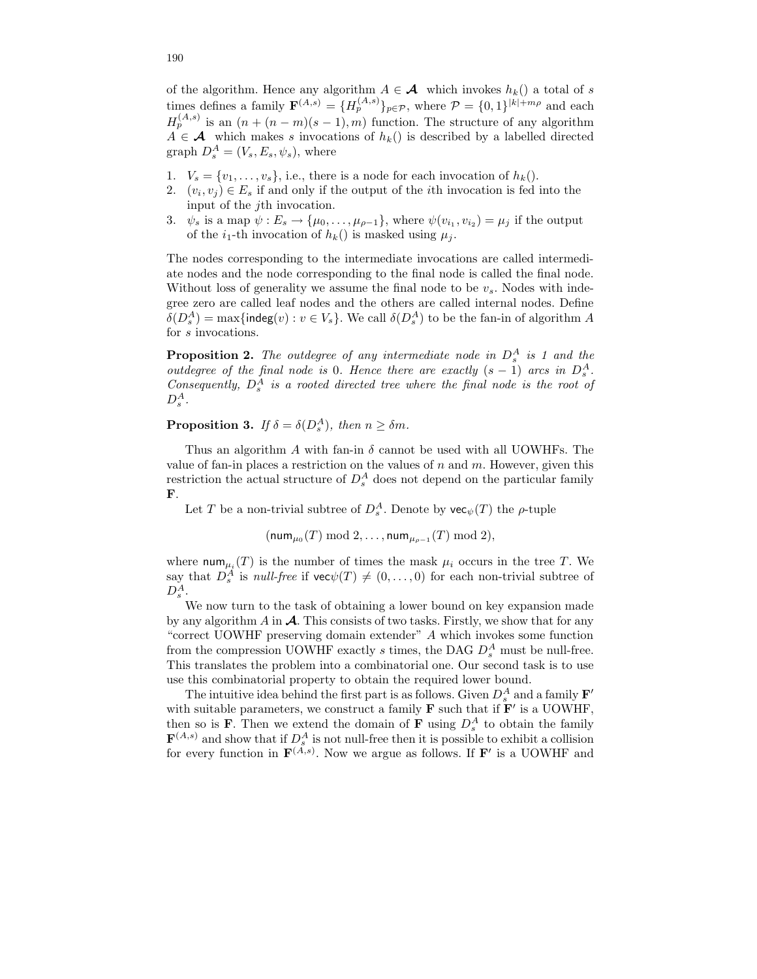of the algorithm. Hence any algorithm  $A \in \mathcal{A}$  which invokes  $h_k()$  a total of s times defines a family  $\mathbf{F}^{(A,s)} = \{H_p^{(A,s)}\}_{p \in \mathcal{P}}$ , where  $\mathcal{P} = \{0,1\}^{|k| + m\rho}$  and each  $H_p^{(A,s)}$  is an  $(n + (n-m)(s-1), m)$  function. The structure of any algorithm  $A \in \mathcal{A}$  which makes s invocations of  $h_k$ () is described by a labelled directed graph  $D_s^A = (V_s, E_s, \psi_s)$ , where

- 1.  $V_s = \{v_1, \ldots, v_s\}$ , i.e., there is a node for each invocation of  $h_k()$ .
- 2.  $(v_i, v_j) \in E_s$  if and only if the output of the *i*th invocation is fed into the input of the jth invocation.
- 3.  $\psi_s$  is a map  $\psi: E_s \to {\mu_0, \ldots, \mu_{\rho-1}}$ , where  $\psi(v_{i_1}, v_{i_2}) = \mu_j$  if the output of the  $i_1$ -th invocation of  $h_k()$  is masked using  $\mu_i$ .

The nodes corresponding to the intermediate invocations are called intermediate nodes and the node corresponding to the final node is called the final node. Without loss of generality we assume the final node to be  $v_s$ . Nodes with indegree zero are called leaf nodes and the others are called internal nodes. Define  $\delta(D_s^A) = \max\{\mathsf{indeg}(v) : v \in V_s\}$ . We call  $\delta(D_s^A)$  to be the fan-in of algorithm A for s invocations.

**Proposition 2.** The outdegree of any intermediate node in  $D_s^A$  is 1 and the outdegree of the final node is 0. Hence there are exactly  $(s-1)$  arcs in  $D_s^A$ . Consequently,  $D_s^A$  is a rooted directed tree where the final node is the root of  $D_s^A$ .

## **Proposition 3.** If  $\delta = \delta(D_s^A)$ , then  $n \geq \delta m$ .

Thus an algorithm A with fan-in  $\delta$  cannot be used with all UOWHFs. The value of fan-in places a restriction on the values of  $n$  and  $m$ . However, given this restriction the actual structure of  $D_s^A$  does not depend on the particular family F.

Let T be a non-trivial subtree of  $D_s^A$ . Denote by  $\mathsf{vec}_\psi(T)$  the  $\rho$ -tuple

 $(\mathsf{num}_{\mu_0}(T) \bmod 2, \ldots, \mathsf{num}_{\mu_{\rho-1}}(T) \bmod 2),$ 

where  $\text{num}_{\mu_i}(T)$  is the number of times the mask  $\mu_i$  occurs in the tree T. We say that  $D_s^A$  is *null-free* if  $\mathsf{vec}\psi(T) \neq (0, \ldots, 0)$  for each non-trivial subtree of  $D_s^A$ .

We now turn to the task of obtaining a lower bound on key expansion made by any algorithm  $A$  in  $\mathcal A$ . This consists of two tasks. Firstly, we show that for any "correct UOWHF preserving domain extender" A which invokes some function from the compression UOWHF exactly s times, the DAG  $D_s^A$  must be null-free. This translates the problem into a combinatorial one. Our second task is to use use this combinatorial property to obtain the required lower bound.

The intuitive idea behind the first part is as follows. Given  $D_s^A$  and a family  $\mathbf{F}'$ with suitable parameters, we construct a family  $\bf{F}$  such that if  $\bf{F}'$  is a UOWHF, then so is **F**. Then we extend the domain of **F** using  $D_s^A$  to obtain the family  $\mathbf{F}^{(A,s)}$  and show that if  $D_s^A$  is not null-free then it is possible to exhibit a collision for every function in  $\mathbf{F}^{(A,s)}$ . Now we argue as follows. If  $\mathbf{F}'$  is a UOWHF and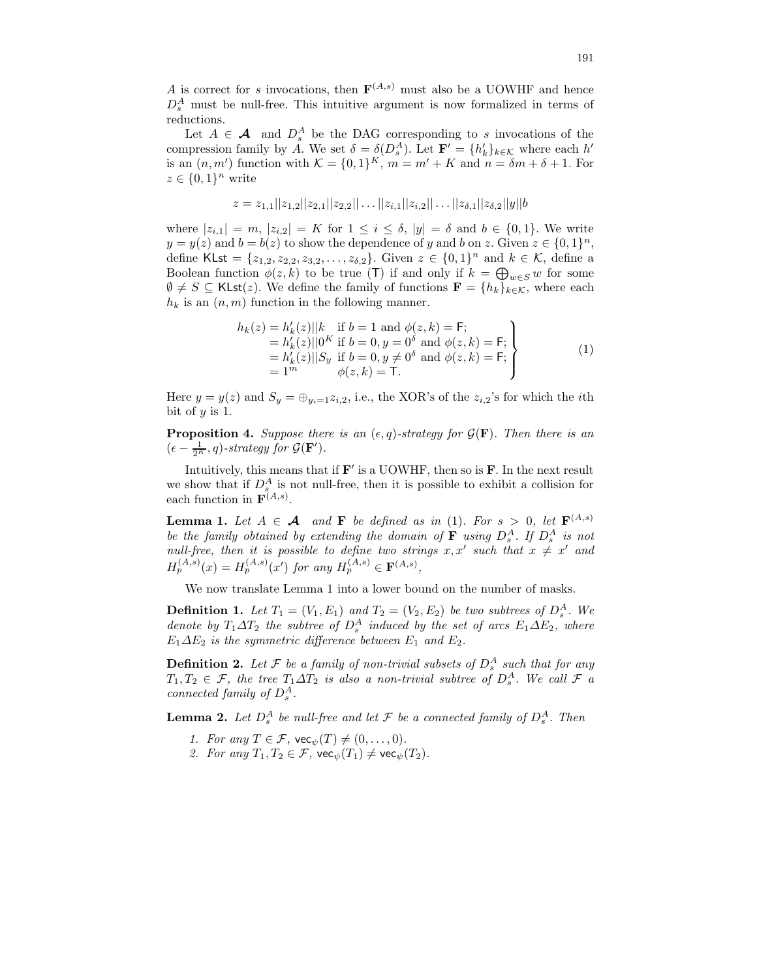A is correct for s invocations, then  $\mathbf{F}^{(A,s)}$  must also be a UOWHF and hence  $D_s^A$  must be null-free. This intuitive argument is now formalized in terms of reductions.

Let  $A \in \mathcal{A}$  and  $D_s^A$  be the DAG corresponding to s invocations of the compression family by A. We set  $\delta = \delta(D_s^A)$ . Let  $\mathbf{F}' = \{h'_k\}_{k \in \mathcal{K}}$  where each  $h'$ is an  $(n, m')$  function with  $\mathcal{K} = \{0, 1\}^K$ ,  $m = m' + K$  and  $n = \delta m + \delta + 1$ . For  $z \in \{0,1\}^n$  write

$$
z = z_{1,1}||z_{1,2}||z_{2,1}||z_{2,2}|| \ldots ||z_{i,1}||z_{i,2}|| \ldots ||z_{\delta,1}||z_{\delta,2}||y||b
$$

where  $|z_{i,1}| = m, |z_{i,2}| = K$  for  $1 \le i \le \delta, |y| = \delta$  and  $b \in \{0,1\}.$  We write  $y = y(z)$  and  $b = b(z)$  to show the dependence of y and b on z. Given  $z \in \{0,1\}^n$ , define KLst =  $\{z_{1,2}, z_{2,2}, z_{3,2}, \ldots, z_{\delta,2}\}$ . Given  $z \in \{0,1\}^n$  and  $k \in \mathcal{K}$ , define a Boolean function  $\phi(z, k)$  to be true (T) if and only if  $k = \bigoplus_{w \in S} w$  for some  $\emptyset \neq S \subseteq$  KLst(z). We define the family of functions  $\mathbf{F} = \{h_k\}_{k \in \mathcal{K}}$ , where each  $h_k$  is an  $(n, m)$  function in the following manner.

$$
h_k(z) = h'_k(z)||k \text{ if } b = 1 \text{ and } \phi(z, k) = \mathsf{F};
$$
  
\n
$$
= h'_k(z)||0^K \text{ if } b = 0, y = 0^\delta \text{ and } \phi(z, k) = \mathsf{F};
$$
  
\n
$$
= h'_k(z)||S_y \text{ if } b = 0, y \neq 0^\delta \text{ and } \phi(z, k) = \mathsf{F};
$$
  
\n
$$
= 1^m \qquad \phi(z, k) = \mathsf{T}.
$$
 (1)

Here  $y = y(z)$  and  $S_y = \bigoplus_{y_i=1} z_{i,2}$ , i.e., the XOR's of the  $z_{i,2}$ 's for which the *i*th bit of  $y$  is 1.

**Proposition 4.** Suppose there is an  $(\epsilon, q)$ -strategy for  $\mathcal{G}(\mathbf{F})$ . Then there is an  $(\epsilon - \frac{1}{2^K}, q)$ -strategy for  $\mathcal{G}(\mathbf{F}')$ .

Intuitively, this means that if  $F'$  is a UOWHF, then so is  $F$ . In the next result we show that if  $D_{{\rm s}}^A$  is not null-free, then it is possible to exhibit a collision for each function in  $\mathbf{F}^{(A,s)}$ .

**Lemma 1.** Let  $A \in \mathcal{A}$  and **F** be defined as in (1). For  $s > 0$ , let  $\mathbf{F}^{(A,s)}$ be the family obtained by extending the domain of  $\mathbf{F}$  using  $D_s^A$ . If  $D_s^A$  is not null-free, then it is possible to define two strings  $x, x'$  such that  $x \neq x'$  and  $H_p^{(A,s)}(x) = H_p^{(A,s)}(x')$  for any  $H_p^{(A,s)} \in \mathbf{F}^{(A,s)}$ ,

We now translate Lemma 1 into a lower bound on the number of masks.

**Definition 1.** Let  $T_1 = (V_1, E_1)$  and  $T_2 = (V_2, E_2)$  be two subtrees of  $D_s^A$ . We denote by  $T_1\Delta T_2$  the subtree of  $D_s^A$  induced by the set of arcs  $E_1\Delta E_2$ , where  $E_1\Delta E_2$  is the symmetric difference between  $E_1$  and  $E_2$ .

**Definition 2.** Let F be a family of non-trivial subsets of  $D_s^A$  such that for any  $T_1, T_2 \in \mathcal{F}$ , the tree  $T_1 \Delta T_2$  is also a non-trivial subtree of  $D_s^A$ . We call  $\mathcal{F}$  a connected family of  $D_s^A$ .

**Lemma 2.** Let  $D_s^A$  be null-free and let  $\mathcal F$  be a connected family of  $D_s^A$ . Then

- 1. For any  $T \in \mathcal{F}$ ,  $\text{vec}_\psi(T) \neq (0, \ldots, 0)$ .
- 2. For any  $T_1, T_2 \in \mathcal{F}$ ,  $\text{vec}_\psi(T_1) \neq \text{vec}_\psi(T_2)$ .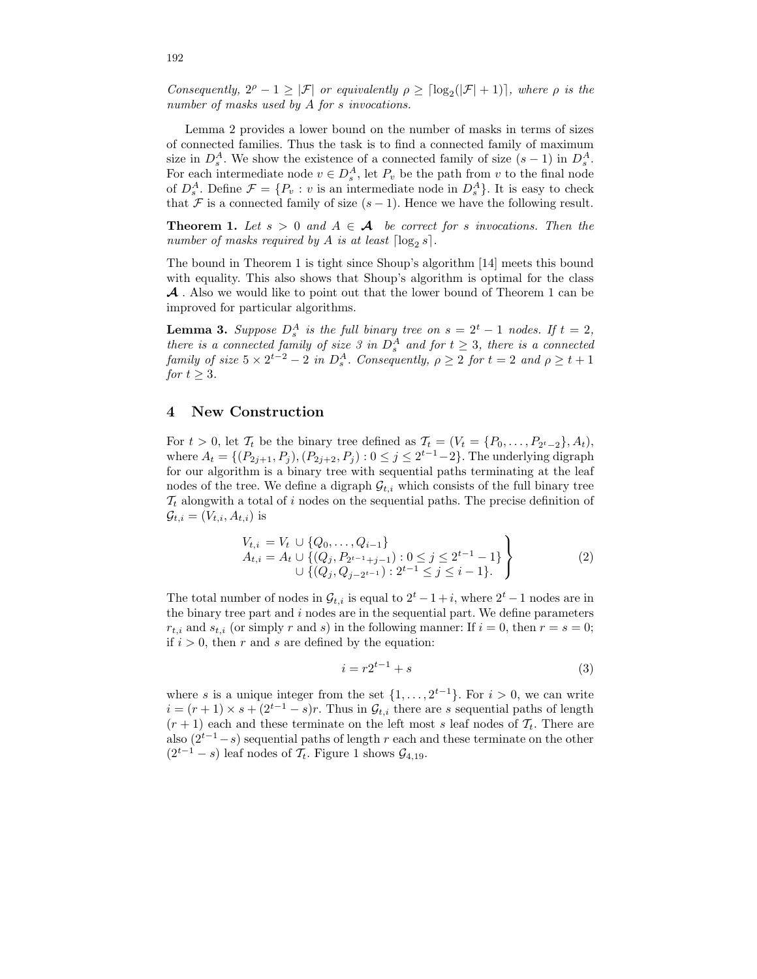Consequently,  $2^{\rho} - 1 \geq |\mathcal{F}|$  or equivalently  $\rho \geq \lceil \log_2(|\mathcal{F}| + 1) \rceil$ , where  $\rho$  is the number of masks used by A for s invocations.

Lemma 2 provides a lower bound on the number of masks in terms of sizes of connected families. Thus the task is to find a connected family of maximum size in  $D_s^A$ . We show the existence of a connected family of size  $(s-1)$  in  $D_s^A$ . For each intermediate node  $v \in D_s^A$ , let  $P_v$  be the path from v to the final node of  $D_s^A$ . Define  $\mathcal{F} = \{P_v : v \text{ is an intermediate node in } D_s^A\}$ . It is easy to check that F is a connected family of size  $(s-1)$ . Hence we have the following result.

**Theorem 1.** Let  $s > 0$  and  $A \in \mathcal{A}$  be correct for s invocations. Then the number of masks required by A is at least  $\lceil \log_2 s \rceil$ .

The bound in Theorem 1 is tight since Shoup's algorithm [14] meets this bound with equality. This also shows that Shoup's algorithm is optimal for the class A . Also we would like to point out that the lower bound of Theorem 1 can be improved for particular algorithms.

**Lemma 3.** Suppose  $D_s^A$  is the full binary tree on  $s = 2^t - 1$  nodes. If  $t = 2$ , there is a connected family of size 3 in  $D_s^A$  and for  $t \geq 3$ , there is a connected family of size  $5 \times 2^{t-2} - 2$  in  $D_s^A$ . Consequently,  $\rho \ge 2$  for  $t = 2$  and  $\rho \ge t + 1$ for  $t \geq 3$ .

### 4 New Construction

For  $t > 0$ , let  $\mathcal{T}_t$  be the binary tree defined as  $\mathcal{T}_t = (V_t = \{P_0, \ldots, P_{2^t-2}\}, A_t)$ , where  $A_t = \{(P_{2j+1}, P_j), (P_{2j+2}, P_j) : 0 \le j \le 2^{t-1}-2\}$ . The underlying digraph for our algorithm is a binary tree with sequential paths terminating at the leaf nodes of the tree. We define a digraph  $\mathcal{G}_{t,i}$  which consists of the full binary tree  $\mathcal{T}_t$  alongwith a total of i nodes on the sequential paths. The precise definition of  $\mathcal{G}_{t,i} = (V_{t,i}, A_{t,i})$  is

$$
V_{t,i} = V_t \cup \{Q_0, \dots, Q_{i-1}\}\n\nA_{t,i} = A_t \cup \{(Q_j, P_{2^{t-1}+j-1}) : 0 \le j \le 2^{t-1} - 1\}\n\n\cup \{(Q_j, Q_{j-2^{t-1}}) : 2^{t-1} \le j \le i-1\}.
$$
\n(2)

The total number of nodes in  $\mathcal{G}_{t,i}$  is equal to  $2^t - 1 + i$ , where  $2^t - 1$  nodes are in the binary tree part and  $i$  nodes are in the sequential part. We define parameters  $r_{t,i}$  and  $s_{t,i}$  (or simply r and s) in the following manner: If  $i = 0$ , then  $r = s = 0$ ; if  $i > 0$ , then r and s are defined by the equation:

$$
i = r2^{t-1} + s \tag{3}
$$

where s is a unique integer from the set  $\{1, \ldots, 2^{t-1}\}$ . For  $i > 0$ , we can write  $i = (r + 1) \times s + (2^{t-1} - s)r$ . Thus in  $\mathcal{G}_{t,i}$  there are s sequential paths of length  $(r + 1)$  each and these terminate on the left most s leaf nodes of  $\mathcal{T}_t$ . There are also  $(2^{t-1}-s)$  sequential paths of length r each and these terminate on the other  $(2^{t-1} - s)$  leaf nodes of  $\mathcal{T}_t$ . Figure 1 shows  $\mathcal{G}_{4,19}$ .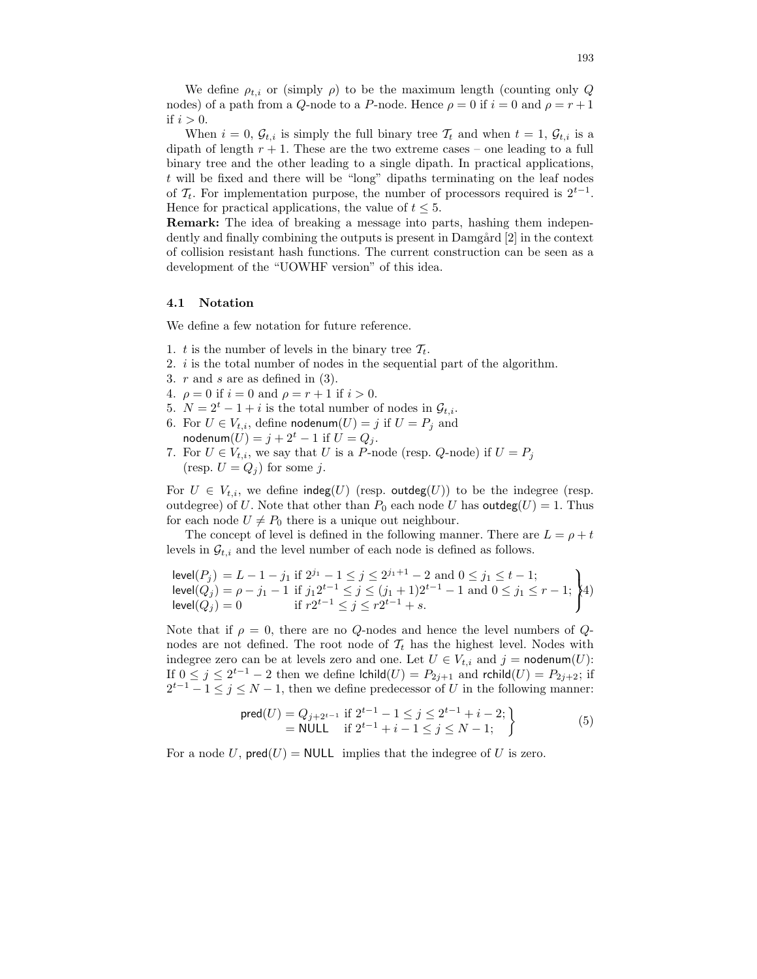We define  $\rho_{t,i}$  or (simply  $\rho$ ) to be the maximum length (counting only Q nodes) of a path from a Q-node to a P-node. Hence  $\rho = 0$  if  $i = 0$  and  $\rho = r + 1$ if  $i > 0$ .

When  $i = 0$ ,  $\mathcal{G}_{t,i}$  is simply the full binary tree  $\mathcal{T}_t$  and when  $t = 1$ ,  $\mathcal{G}_{t,i}$  is a dipath of length  $r + 1$ . These are the two extreme cases – one leading to a full binary tree and the other leading to a single dipath. In practical applications, t will be fixed and there will be "long" dipaths terminating on the leaf nodes of  $\mathcal{T}_t$ . For implementation purpose, the number of processors required is  $2^{t-1}$ . Hence for practical applications, the value of  $t \leq 5$ .

Remark: The idea of breaking a message into parts, hashing them independently and finally combining the outputs is present in Damgård [2] in the context of collision resistant hash functions. The current construction can be seen as a development of the "UOWHF version" of this idea.

#### 4.1 Notation

We define a few notation for future reference.

- 1. t is the number of levels in the binary tree  $\mathcal{T}_t$ .
- 2. i is the total number of nodes in the sequential part of the algorithm.
- 3.  $r$  and  $s$  are as defined in (3).
- 4.  $\rho = 0$  if  $i = 0$  and  $\rho = r + 1$  if  $i > 0$ .
- 5.  $N = 2^t 1 + i$  is the total number of nodes in  $\mathcal{G}_{t,i}$ .
- 6. For  $U \in V_{t,i}$ , define nodenum $(U) = j$  if  $U = P_j$  and nodenum $(U) = j + 2^t - 1$  if  $U = Q_j$ .
- 7. For  $U \in V_{t,i}$ , we say that U is a P-node (resp. Q-node) if  $U = P_j$ (resp.  $U = Q_j$ ) for some j.

For  $U \in V_{t,i}$ , we define indeg(U) (resp. outdeg(U)) to be the indegree (resp. outdegree) of U. Note that other than  $P_0$  each node U has outdeg $(U) = 1$ . Thus for each node  $U \neq P_0$  there is a unique out neighbour.

The concept of level is defined in the following manner. There are  $L = \rho + t$ levels in  $\mathcal{G}_{t,i}$  and the level number of each node is defined as follows.

$$
\begin{array}{ll}\n\text{level}(P_j) &= L - 1 - j_1 \text{ if } 2^{j_1} - 1 \le j \le 2^{j_1 + 1} - 2 \text{ and } 0 \le j_1 \le t - 1; \\
\text{level}(Q_j) &= \rho - j_1 - 1 \text{ if } j_1 2^{t-1} \le j \le (j_1 + 1) 2^{t-1} - 1 \text{ and } 0 \le j_1 \le r - 1; \\
\text{level}(Q_j) &= 0 \qquad \qquad \text{if } r 2^{t-1} \le j \le r 2^{t-1} + s.\n\end{array}
$$

Note that if  $\rho = 0$ , there are no Q-nodes and hence the level numbers of Qnodes are not defined. The root node of  $\mathcal{T}_t$  has the highest level. Nodes with indegree zero can be at levels zero and one. Let  $U \in V_{t,i}$  and  $j = \text{nodenum}(U)$ : If  $0 \leq j \leq 2^{t-1}-2$  then we define  $\textsf{lchild}(U) = P_{2j+1}$  and  $\textsf{rchild}(U) = P_{2j+2};$  if  $2^{t-1} - 1 \le j \le N - 1$ , then we define predecessor of U in the following manner:

$$
\begin{aligned} \text{pred}(U) &= Q_{j+2^{t-1}} \text{ if } 2^{t-1} - 1 \le j \le 2^{t-1} + i - 2; \\ &= \text{NULL} \quad \text{if } 2^{t-1} + i - 1 \le j \le N - 1; \end{aligned} \tag{5}
$$

For a node U,  $\text{pred}(U) = \text{NULL}$  implies that the indegree of U is zero.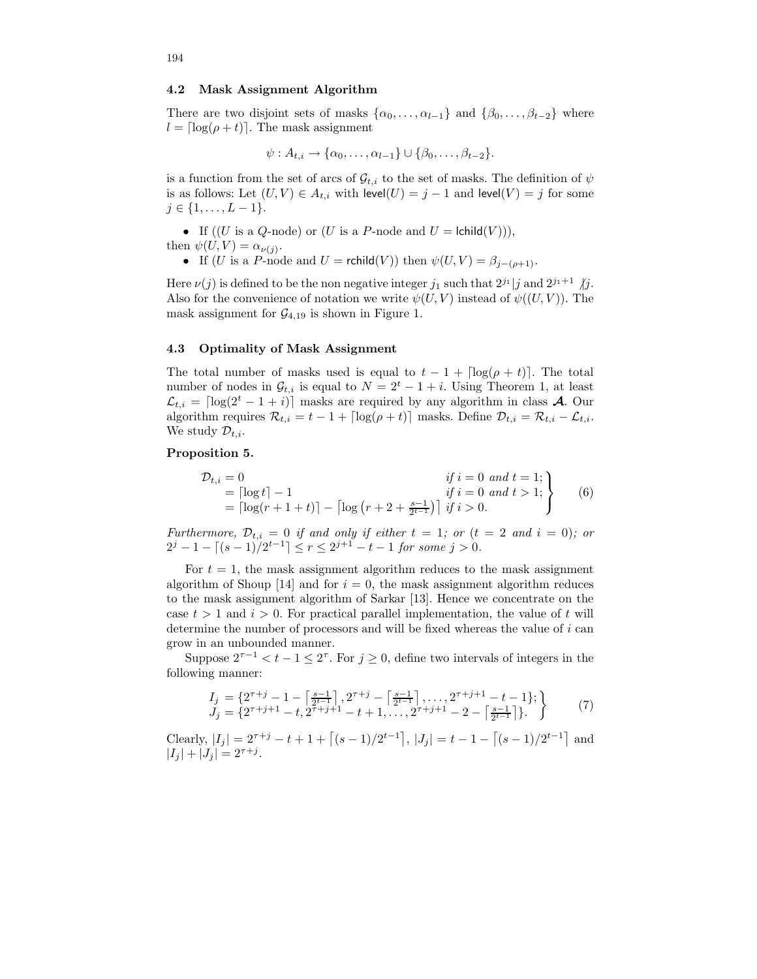#### 4.2 Mask Assignment Algorithm

There are two disjoint sets of masks  $\{\alpha_0, \ldots, \alpha_{l-1}\}\$  and  $\{\beta_0, \ldots, \beta_{t-2}\}\$  where  $l = \lceil \log(\rho + t) \rceil$ . The mask assignment

$$
\psi: A_{t,i} \to \{\alpha_0,\ldots,\alpha_{l-1}\} \cup \{\beta_0,\ldots,\beta_{t-2}\}.
$$

is a function from the set of arcs of  $\mathcal{G}_{t,i}$  to the set of masks. The definition of  $\psi$ is as follows: Let  $(U, V) \in A_{t,i}$  with level $(U) = j - 1$  and level $(V) = j$  for some  $j \in \{1, \ldots, L-1\}.$ 

• If  $((U \text{ is a } Q \text{-node}) \text{ or } (U \text{ is a } P \text{-node and } U = \text{lchild}(V))),$ then  $\psi(U, V) = \alpha_{\nu(j)}$ .

• If (U is a P-node and U = rchild(V)) then  $\psi(U, V) = \beta_{i-(\rho+1)}$ .

Here  $\nu(j)$  is defined to be the non negative integer  $j_1$  such that  $2^{j_1}|j$  and  $2^{j_1+1}|j$ . Also for the convenience of notation we write  $\psi(U, V)$  instead of  $\psi((U, V))$ . The mask assignment for  $\mathcal{G}_{4,19}$  is shown in Figure 1.

#### 4.3 Optimality of Mask Assignment

The total number of masks used is equal to  $t - 1 + \lceil \log(\rho + t) \rceil$ . The total number of nodes in  $\mathcal{G}_{t,i}$  is equal to  $N = 2^t - 1 + i$ . Using Theorem 1, at least  $\mathcal{L}_{t,i} = \lceil \log(2^t - 1 + i) \rceil$  masks are required by any algorithm in class A. Our algorithm requires  $\mathcal{R}_{t,i} = t - 1 + \lceil \log(\rho + t) \rceil$  masks. Define  $\mathcal{D}_{t,i} = \mathcal{R}_{t,i} - \mathcal{L}_{t,i}$ . We study  $\mathcal{D}_{t,i}$ .

#### Proposition 5.

$$
\mathcal{D}_{t,i} = 0 \qquad \qquad \text{if } i = 0 \text{ and } t = 1; \\
= \lceil \log t \rceil - 1 \qquad \qquad \text{if } i = 0 \text{ and } t > 1; \\
= \lceil \log(r + 1 + t) \rceil - \lceil \log \left( r + 2 + \frac{s-1}{2^{t-1}} \right) \rceil \text{ if } i > 0. \qquad (6)
$$

Furthermore,  $\mathcal{D}_{t,i} = 0$  if and only if either  $t = 1$ ; or  $(t = 2$  and  $i = 0)$ ; or  $2^{j} - 1 - \lfloor (s-1)/2^{t-1} \rfloor \le r \le 2^{j+1} - t - 1$  for some  $j > 0$ .

For  $t = 1$ , the mask assignment algorithm reduces to the mask assignment algorithm of Shoup [14] and for  $i = 0$ , the mask assignment algorithm reduces to the mask assignment algorithm of Sarkar [13]. Hence we concentrate on the case  $t > 1$  and  $i > 0$ . For practical parallel implementation, the value of t will determine the number of processors and will be fixed whereas the value of  $i$  can grow in an unbounded manner.

Suppose  $2^{\tau-1} < t-1 \leq 2^{\tau}$ . For  $j \geq 0$ , define two intervals of integers in the following manner:

$$
I_j = \{2^{\tau+j} - 1 - \left[\frac{s-1}{2^{t-1}}\right], 2^{\tau+j} - \left[\frac{s-1}{2^{t-1}}\right], \dots, 2^{\tau+j+1} - t - 1\};
$$
  
\n
$$
J_j = \{2^{\tau+j+1} - t, 2^{\tau+j+1} - t + 1, \dots, 2^{\tau+j+1} - 2 - \left[\frac{s-1}{2^{t-1}}\right]\}.
$$
\n(7)

Clearly,  $|I_j| = 2^{\tau+j} - t + 1 + [(s-1)/2^{t-1}], |J_j| = t - 1 - [(s-1)/2^{t-1}]$  and  $|I_j| + |J_j| = 2^{\tau+j}.$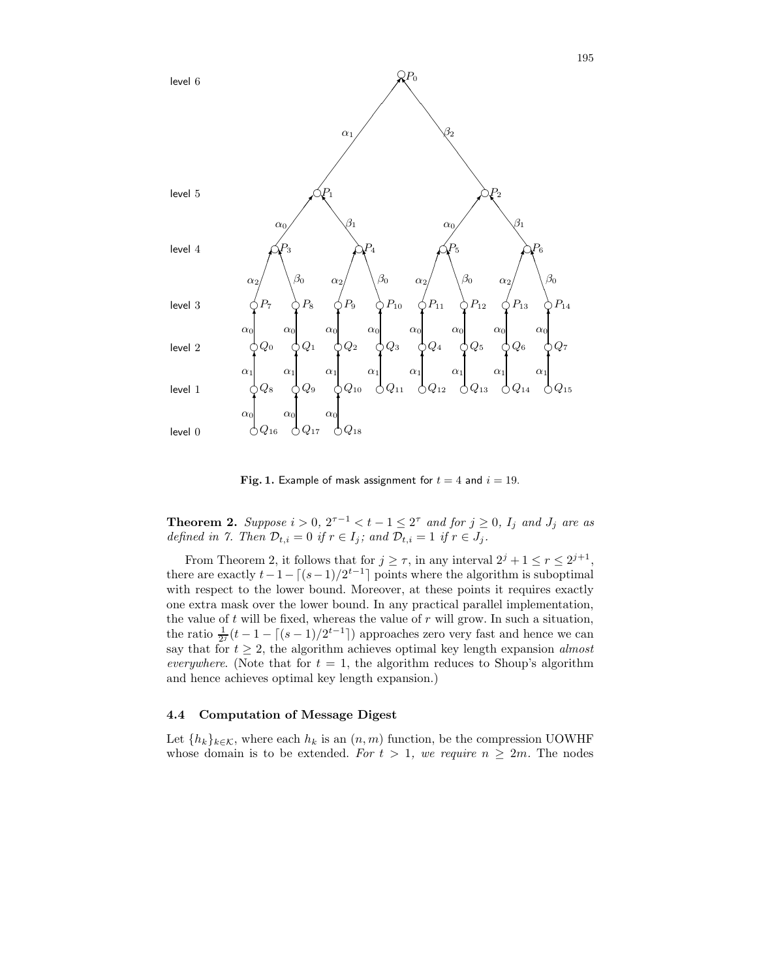

Fig. 1. Example of mask assignment for  $t = 4$  and  $i = 19$ .

**Theorem 2.** Suppose  $i > 0$ ,  $2^{\tau-1} < t-1 \leq 2^{\tau}$  and for  $j \geq 0$ ,  $I_j$  and  $J_j$  are as defined in 7. Then  $\mathcal{D}_{t,i} = 0$  if  $r \in I_j$ ; and  $\mathcal{D}_{t,i} = 1$  if  $r \in J_j$ .

From Theorem 2, it follows that for  $j \geq \tau$ , in any interval  $2^{j} + 1 \leq r \leq 2^{j+1}$ , there are exactly  $t-1-[(s-1)/2^{t-1}]$  points where the algorithm is suboptimal with respect to the lower bound. Moreover, at these points it requires exactly one extra mask over the lower bound. In any practical parallel implementation, the value of  $t$  will be fixed, whereas the value of  $r$  will grow. In such a situation, the ratio  $\frac{1}{2^j}(t-1-\lceil(s-1)/2^{t-1}\rceil)$  approaches zero very fast and hence we can say that for  $t \geq 2$ , the algorithm achieves optimal key length expansion almost everywhere. (Note that for  $t = 1$ , the algorithm reduces to Shoup's algorithm and hence achieves optimal key length expansion.)

#### 4.4 Computation of Message Digest

Let  $\{h_k\}_{k\in\mathcal{K}}$ , where each  $h_k$  is an  $(n, m)$  function, be the compression UOWHF whose domain is to be extended. For  $t > 1$ , we require  $n \geq 2m$ . The nodes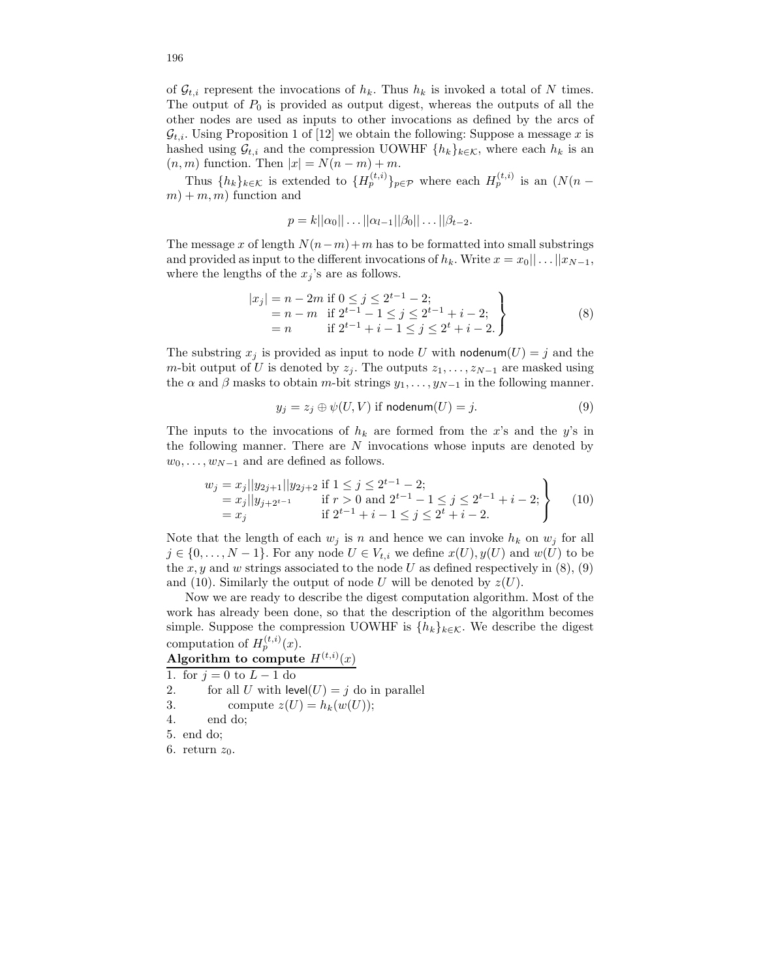of  $\mathcal{G}_{t,i}$  represent the invocations of  $h_k$ . Thus  $h_k$  is invoked a total of N times. The output of  $P_0$  is provided as output digest, whereas the outputs of all the other nodes are used as inputs to other invocations as defined by the arcs of  $\mathcal{G}_{t,i}$ . Using Proposition 1 of [12] we obtain the following: Suppose a message x is hashed using  $\mathcal{G}_{t,i}$  and the compression UOWHF  $\{h_k\}_{k\in\mathcal{K}}$ , where each  $h_k$  is an  $(n, m)$  function. Then  $|x| = N(n-m) + m$ .

Thus  $\{h_k\}_{k\in\mathcal{K}}$  is extended to  $\{H_p^{(t,i)}\}_{p\in\mathcal{P}}$  where each  $H_p^{(t,i)}$  is an  $(N(n-1))$  $(m) + m, m$  function and

$$
p = k||\alpha_0|| \dots ||\alpha_{l-1}||\beta_0|| \dots ||\beta_{t-2}.
$$

The message x of length  $N(n-m)+m$  has to be formatted into small substrings and provided as input to the different invocations of  $h_k$ . Write  $x = x_0 || \dots || x_{N-1}$ , where the lengths of the  $x_j$ 's are as follows.

$$
|x_j| = n - 2m \text{ if } 0 \le j \le 2^{t-1} - 2; = n - m \text{ if } 2^{t-1} - 1 \le j \le 2^{t-1} + i - 2; = n \text{ if } 2^{t-1} + i - 1 \le j \le 2^t + i - 2.
$$
 (8)

The substring  $x_j$  is provided as input to node U with nodenum $(U) = j$  and the m-bit output of U is denoted by  $z_j$ . The outputs  $z_1, \ldots, z_{N-1}$  are masked using the  $\alpha$  and  $\beta$  masks to obtain m-bit strings  $y_1, \ldots, y_{N-1}$  in the following manner.

$$
y_j = z_j \oplus \psi(U, V) \text{ if nodenum}(U) = j. \tag{9}
$$

The inputs to the invocations of  $h_k$  are formed from the x's and the y's in the following manner. There are  $N$  invocations whose inputs are denoted by  $w_0, \ldots, w_{N-1}$  and are defined as follows.

$$
w_j = x_j ||y_{2j+1}||y_{2j+2} \text{ if } 1 \le j \le 2^{t-1} - 2; = x_j ||y_{j+2^{t-1}} \text{ if } r > 0 \text{ and } 2^{t-1} - 1 \le j \le 2^{t-1} + i - 2; = x_j \text{ if } 2^{t-1} + i - 1 \le j \le 2^t + i - 2.
$$
 (10)

Note that the length of each  $w_j$  is n and hence we can invoke  $h_k$  on  $w_j$  for all  $j \in \{0, \ldots, N-1\}$ . For any node  $U \in V_{t,i}$  we define  $x(U), y(U)$  and  $w(U)$  to be the x, y and w strings associated to the node U as defined respectively in  $(8)$ ,  $(9)$ and (10). Similarly the output of node U will be denoted by  $z(U)$ .

Now we are ready to describe the digest computation algorithm. Most of the work has already been done, so that the description of the algorithm becomes simple. Suppose the compression UOWHF is  $\{h_k\}_{k\in\mathcal{K}}$ . We describe the digest computation of  $H_p^{(t,i)}(x)$ .

## Algorithm to compute  $H^{(t,i)}(x)$

- 1. for  $j = 0$  to  $L 1$  do
- 2. for all U with  $\text{level}(U) = j$  do in parallel
- 3. compute  $z(U) = h_k(w(U));$
- 4. end do;
- 5. end do;
- 6. return  $z_0$ .